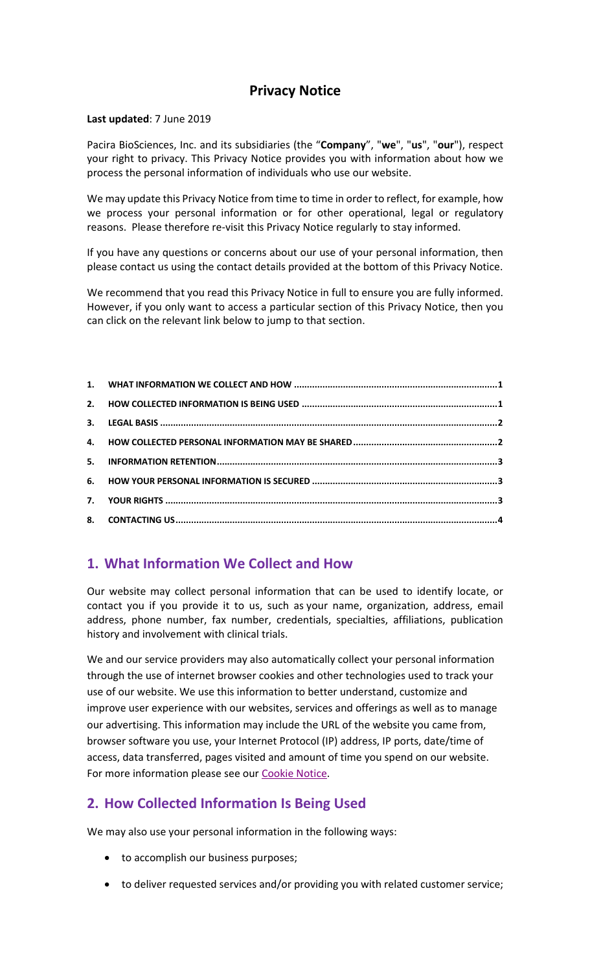### **Privacy Notice**

#### **Last updated**: 7 June 2019

Pacira BioSciences, Inc. and its subsidiaries (the "**Company**", "**we**", "**us**", "**our**"), respect your right to privacy. This Privacy Notice provides you with information about how we process the personal information of individuals who use our website.

We may update this Privacy Notice from time to time in order to reflect, for example, how we process your personal information or for other operational, legal or regulatory reasons. Please therefore re-visit this Privacy Notice regularly to stay informed.

If you have any questions or concerns about our use of your personal information, then please contact us using the contact details provided at the bottom of this Privacy Notice.

We recommend that you read this Privacy Notice in full to ensure you are fully informed. However, if you only want to access a particular section of this Privacy Notice, then you can click on the relevant link below to jump to that section.

| 5. |  |
|----|--|
|    |  |
| 7. |  |
|    |  |

### **1. What Information We Collect and How**

Our website may collect personal information that can be used to identify locate, or contact you if you provide it to us, such as your name, organization, address, email address, phone number, fax number, credentials, specialties, affiliations, publication history and involvement with clinical trials.

We and our service providers may also automatically collect your personal information through the use of internet browser cookies and other technologies used to track your use of our website. We use this information to better understand, customize and improve user experience with our websites, services and offerings as well as to manage our advertising. This information may include the URL of the website you came from, browser software you use, your Internet Protocol (IP) address, IP ports, date/time of access, data transferred, pages visited and amount of time you spend on our website. For more information please see our [Cookie Notice.](https://www.pacira.com/CookieNotice)

# **2. How Collected Information Is Being Used**

We may also use your personal information in the following ways:

- to accomplish our business purposes;
- to deliver requested services and/or providing you with related customer service;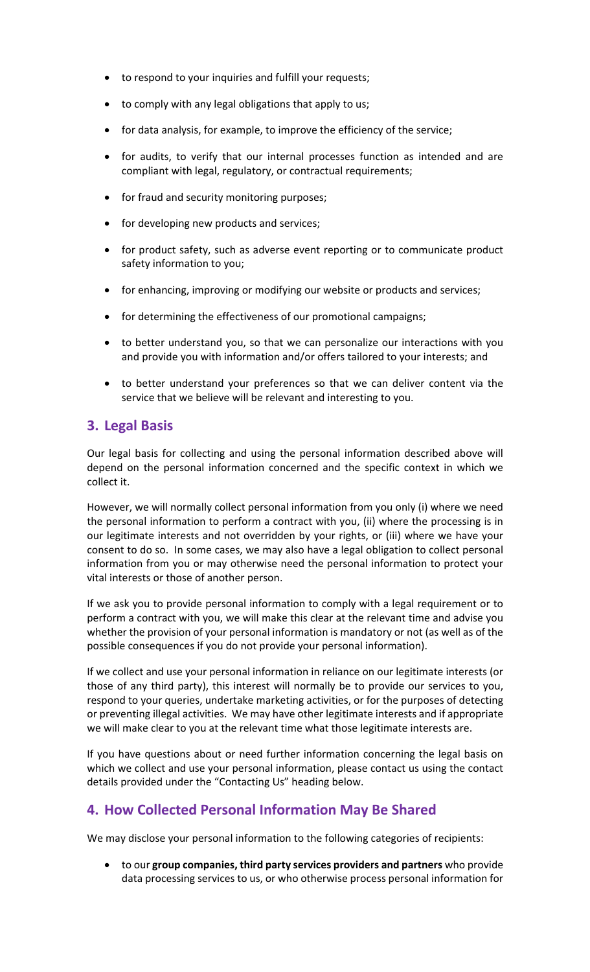- to respond to your inquiries and fulfill your requests;
- to comply with any legal obligations that apply to us;
- for data analysis, for example, to improve the efficiency of the service;
- for audits, to verify that our internal processes function as intended and are compliant with legal, regulatory, or contractual requirements;
- for fraud and security monitoring purposes;
- for developing new products and services;
- for product safety, such as adverse event reporting or to communicate product safety information to you;
- for enhancing, improving or modifying our website or products and services;
- for determining the effectiveness of our promotional campaigns;
- to better understand you, so that we can personalize our interactions with you and provide you with information and/or offers tailored to your interests; and
- to better understand your preferences so that we can deliver content via the service that we believe will be relevant and interesting to you.

### **3. Legal Basis**

Our legal basis for collecting and using the personal information described above will depend on the personal information concerned and the specific context in which we collect it.

However, we will normally collect personal information from you only (i) where we need the personal information to perform a contract with you, (ii) where the processing is in our legitimate interests and not overridden by your rights, or (iii) where we have your consent to do so. In some cases, we may also have a legal obligation to collect personal information from you or may otherwise need the personal information to protect your vital interests or those of another person.

If we ask you to provide personal information to comply with a legal requirement or to perform a contract with you, we will make this clear at the relevant time and advise you whether the provision of your personal information is mandatory or not (as well as of the possible consequences if you do not provide your personal information).

If we collect and use your personal information in reliance on our legitimate interests (or those of any third party), this interest will normally be to provide our services to you, respond to your queries, undertake marketing activities, or for the purposes of detecting or preventing illegal activities. We may have other legitimate interests and if appropriate we will make clear to you at the relevant time what those legitimate interests are.

If you have questions about or need further information concerning the legal basis on which we collect and use your personal information, please contact us using the contact details provided under the "Contacting Us" heading below.

### **4. How Collected Personal Information May Be Shared**

We may disclose your personal information to the following categories of recipients:

• to our **group companies, third party services providers and partners** who provide data processing services to us, or who otherwise process personal information for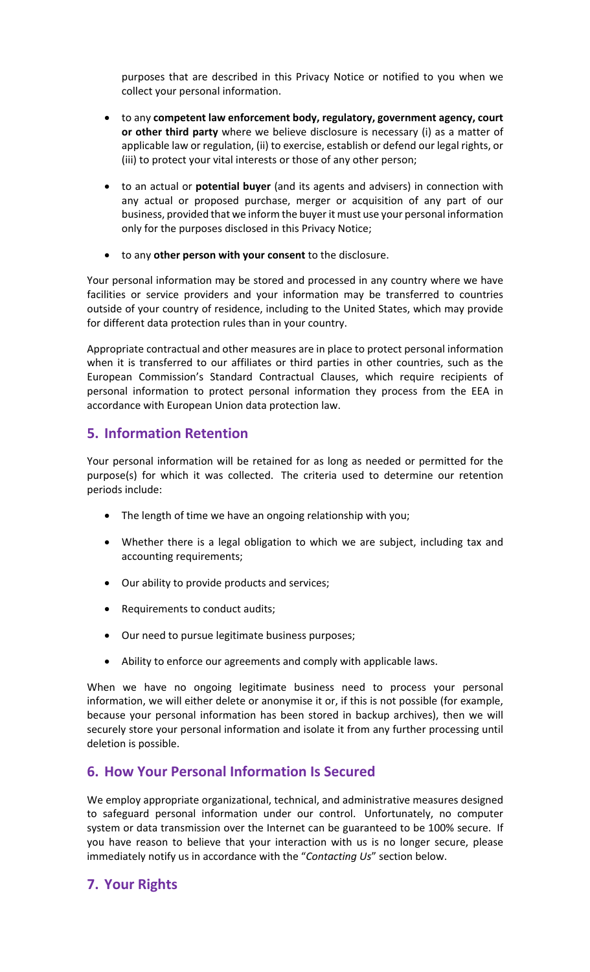purposes that are described in this Privacy Notice or notified to you when we collect your personal information.

- to any **competent law enforcement body, regulatory, government agency, court or other third party** where we believe disclosure is necessary (i) as a matter of applicable law or regulation, (ii) to exercise, establish or defend our legal rights, or (iii) to protect your vital interests or those of any other person;
- to an actual or **potential buyer** (and its agents and advisers) in connection with any actual or proposed purchase, merger or acquisition of any part of our business, provided that we inform the buyer it must use your personal information only for the purposes disclosed in this Privacy Notice;
- to any **other person with your consent** to the disclosure.

Your personal information may be stored and processed in any country where we have facilities or service providers and your information may be transferred to countries outside of your country of residence, including to the United States, which may provide for different data protection rules than in your country.

Appropriate contractual and other measures are in place to protect personal information when it is transferred to our affiliates or third parties in other countries, such as the European Commission's Standard Contractual Clauses, which require recipients of personal information to protect personal information they process from the EEA in accordance with European Union data protection law.

## **5. Information Retention**

Your personal information will be retained for as long as needed or permitted for the purpose(s) for which it was collected. The criteria used to determine our retention periods include:

- The length of time we have an ongoing relationship with you;
- Whether there is a legal obligation to which we are subject, including tax and accounting requirements;
- Our ability to provide products and services;
- Requirements to conduct audits;
- Our need to pursue legitimate business purposes;
- Ability to enforce our agreements and comply with applicable laws.

When we have no ongoing legitimate business need to process your personal information, we will either delete or anonymise it or, if this is not possible (for example, because your personal information has been stored in backup archives), then we will securely store your personal information and isolate it from any further processing until deletion is possible.

### **6. How Your Personal Information Is Secured**

We employ appropriate organizational, technical, and administrative measures designed to safeguard personal information under our control. Unfortunately, no computer system or data transmission over the Internet can be guaranteed to be 100% secure. If you have reason to believe that your interaction with us is no longer secure, please immediately notify us in accordance with the "*Contacting Us*" section below.

### **7. Your Rights**